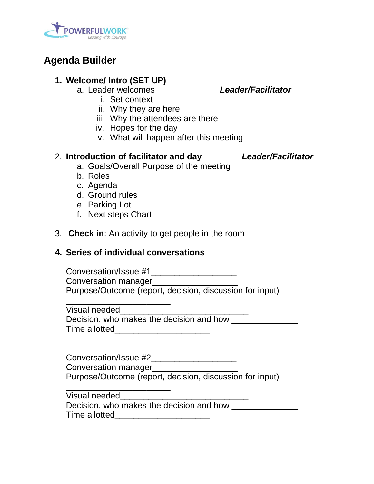

# **Agenda Builder**

# **1. Welcome/ Intro (SET UP)**

a. Leader welcomes *Leader/Facilitator*

- i. Set context
- ii. Why they are here
- iii. Why the attendees are there
- iv. Hopes for the day
- v. What will happen after this meeting

### 2. **Introduction of facilitator and day** *Leader/Facilitator*

- a. Goals/Overall Purpose of the meeting
- b. Roles
- c. Agenda
- d. Ground rules
- e. Parking Lot
- f. Next steps Chart
- 3. **Check in**: An activity to get people in the room

# **4. Series of individual conversations**

Conversation/Issue #1\_\_\_\_\_\_\_\_\_\_\_\_\_\_\_\_\_\_ Conversation manager Purpose/Outcome (report, decision, discussion for input) \_\_\_\_\_\_\_\_\_\_\_\_\_\_\_\_\_\_\_\_\_\_

Visual needed

Decision, who makes the decision and how Time allotted\_\_\_\_\_\_\_\_\_\_\_\_\_\_\_\_\_\_\_\_

Conversation/Issue #2\_\_\_\_\_\_\_\_\_\_\_\_\_\_\_\_\_\_ Conversation manager Purpose/Outcome (report, decision, discussion for input)

\_\_\_\_\_\_\_\_\_\_\_\_\_\_\_\_\_\_\_\_\_\_ Visual needed

Decision, who makes the decision and how Time allotted **Example 20**